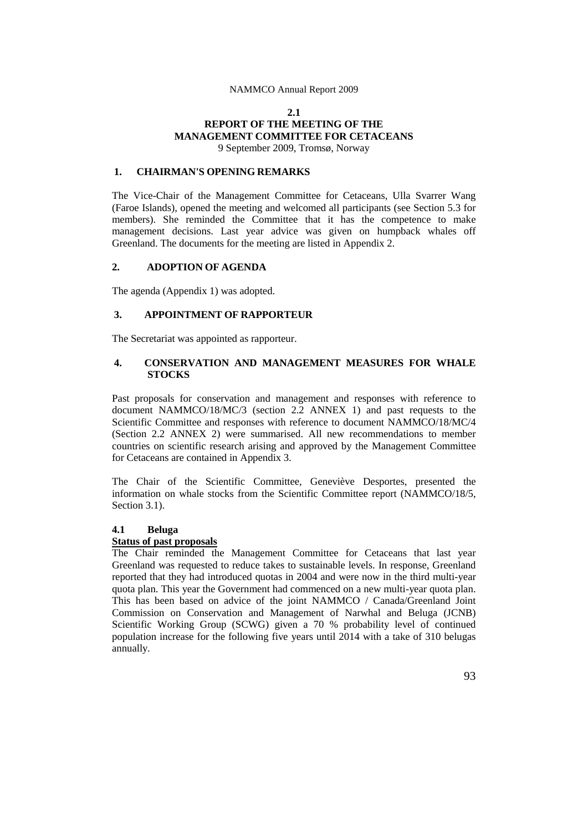## **2.1 REPORT OF THE MEETING OF THE MANAGEMENT COMMITTEE FOR CETACEANS** 9 September 2009, Tromsø, Norway

## **1. CHAIRMAN'S OPENING REMARKS**

The Vice-Chair of the Management Committee for Cetaceans, Ulla Svarrer Wang (Faroe Islands), opened the meeting and welcomed all participants (see Section 5.3 for members). She reminded the Committee that it has the competence to make management decisions. Last year advice was given on humpback whales off Greenland. The documents for the meeting are listed in Appendix 2.

## **2. ADOPTION OF AGENDA**

The agenda (Appendix 1) was adopted.

## **3. APPOINTMENT OF RAPPORTEUR**

The Secretariat was appointed as rapporteur.

## **4. CONSERVATION AND MANAGEMENT MEASURES FOR WHALE STOCKS**

Past proposals for conservation and management and responses with reference to document NAMMCO/18/MC/3 (section 2.2 ANNEX 1) and past requests to the Scientific Committee and responses with reference to document NAMMCO/18/MC/4 (Section 2.2 ANNEX 2) were summarised. All new recommendations to member countries on scientific research arising and approved by the Management Committee for Cetaceans are contained in Appendix 3.

The Chair of the Scientific Committee, Geneviève Desportes, presented the information on whale stocks from the Scientific Committee report (NAMMCO/18/5, Section 3.1).

## **4.1 Beluga**

## **Status of past proposals**

The Chair reminded the Management Committee for Cetaceans that last year Greenland was requested to reduce takes to sustainable levels. In response, Greenland reported that they had introduced quotas in 2004 and were now in the third multi-year quota plan. This year the Government had commenced on a new multi-year quota plan. This has been based on advice of the joint NAMMCO / Canada/Greenland Joint Commission on Conservation and Management of Narwhal and Beluga (JCNB) Scientific Working Group (SCWG) given a 70 % probability level of continued population increase for the following five years until 2014 with a take of 310 belugas annually.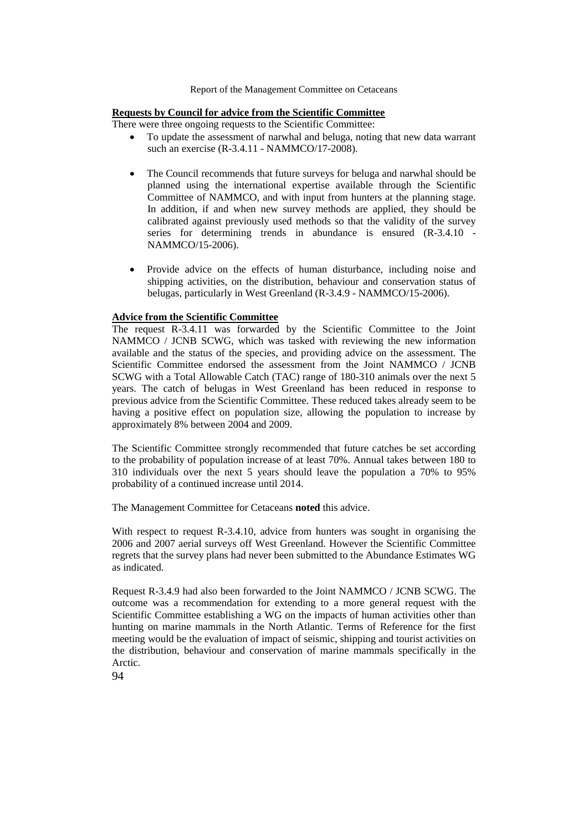## **Requests by Council for advice from the Scientific Committee**

There were three ongoing requests to the Scientific Committee:

- To update the assessment of narwhal and beluga, noting that new data warrant such an exercise (R-3.4.11 - NAMMCO/17-2008).
- The Council recommends that future surveys for beluga and narwhal should be planned using the international expertise available through the Scientific Committee of NAMMCO, and with input from hunters at the planning stage. In addition, if and when new survey methods are applied, they should be calibrated against previously used methods so that the validity of the survey series for determining trends in abundance is ensured (R-3.4.10 - NAMMCO/15-2006).
- Provide advice on the effects of human disturbance, including noise and shipping activities, on the distribution, behaviour and conservation status of belugas, particularly in West Greenland (R-3.4.9 - NAMMCO/15-2006).

### **Advice from the Scientific Committee**

The request R-3.4.11 was forwarded by the Scientific Committee to the Joint NAMMCO / JCNB SCWG, which was tasked with reviewing the new information available and the status of the species, and providing advice on the assessment. The Scientific Committee endorsed the assessment from the Joint NAMMCO / JCNB SCWG with a Total Allowable Catch (TAC) range of 180-310 animals over the next 5 years. The catch of belugas in West Greenland has been reduced in response to previous advice from the Scientific Committee. These reduced takes already seem to be having a positive effect on population size, allowing the population to increase by approximately 8% between 2004 and 2009.

The Scientific Committee strongly recommended that future catches be set according to the probability of population increase of at least 70%. Annual takes between 180 to 310 individuals over the next 5 years should leave the population a 70% to 95% probability of a continued increase until 2014.

The Management Committee for Cetaceans **noted** this advice.

With respect to request R-3.4.10, advice from hunters was sought in organising the 2006 and 2007 aerial surveys off West Greenland. However the Scientific Committee regrets that the survey plans had never been submitted to the Abundance Estimates WG as indicated.

Request R-3.4.9 had also been forwarded to the Joint NAMMCO / JCNB SCWG. The outcome was a recommendation for extending to a more general request with the Scientific Committee establishing a WG on the impacts of human activities other than hunting on marine mammals in the North Atlantic. Terms of Reference for the first meeting would be the evaluation of impact of seismic, shipping and tourist activities on the distribution, behaviour and conservation of marine mammals specifically in the Arctic.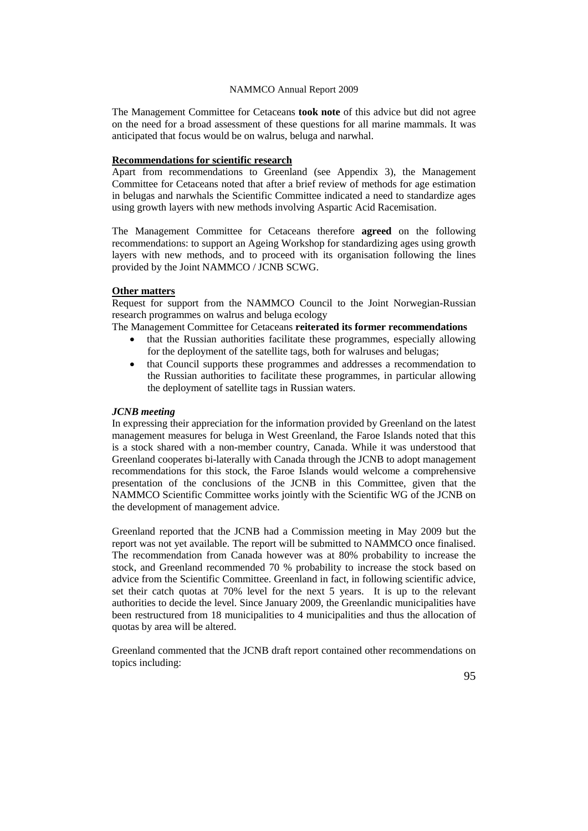The Management Committee for Cetaceans **took note** of this advice but did not agree on the need for a broad assessment of these questions for all marine mammals. It was anticipated that focus would be on walrus, beluga and narwhal.

### **Recommendations for scientific research**

Apart from recommendations to Greenland (see Appendix 3), the Management Committee for Cetaceans noted that after a brief review of methods for age estimation in belugas and narwhals the Scientific Committee indicated a need to standardize ages using growth layers with new methods involving Aspartic Acid Racemisation.

The Management Committee for Cetaceans therefore **agreed** on the following recommendations: to support an Ageing Workshop for standardizing ages using growth layers with new methods, and to proceed with its organisation following the lines provided by the Joint NAMMCO / JCNB SCWG.

## **Other matters**

Request for support from the NAMMCO Council to the Joint Norwegian-Russian research programmes on walrus and beluga ecology

The Management Committee for Cetaceans **reiterated its former recommendations**

- that the Russian authorities facilitate these programmes, especially allowing for the deployment of the satellite tags, both for walruses and belugas;
- that Council supports these programmes and addresses a recommendation to the Russian authorities to facilitate these programmes, in particular allowing the deployment of satellite tags in Russian waters.

## *JCNB meeting*

In expressing their appreciation for the information provided by Greenland on the latest management measures for beluga in West Greenland, the Faroe Islands noted that this is a stock shared with a non-member country, Canada. While it was understood that Greenland cooperates bi-laterally with Canada through the JCNB to adopt management recommendations for this stock, the Faroe Islands would welcome a comprehensive presentation of the conclusions of the JCNB in this Committee, given that the NAMMCO Scientific Committee works jointly with the Scientific WG of the JCNB on the development of management advice.

Greenland reported that the JCNB had a Commission meeting in May 2009 but the report was not yet available. The report will be submitted to NAMMCO once finalised. The recommendation from Canada however was at 80% probability to increase the stock, and Greenland recommended 70 % probability to increase the stock based on advice from the Scientific Committee. Greenland in fact, in following scientific advice, set their catch quotas at 70% level for the next 5 years. It is up to the relevant authorities to decide the level. Since January 2009, the Greenlandic municipalities have been restructured from 18 municipalities to 4 municipalities and thus the allocation of quotas by area will be altered.

Greenland commented that the JCNB draft report contained other recommendations on topics including: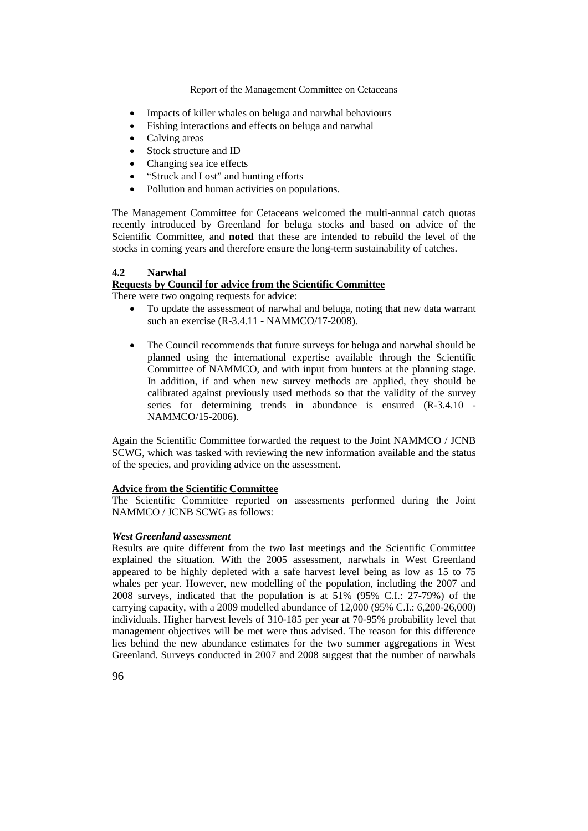- Impacts of killer whales on beluga and narwhal behaviours
- Fishing interactions and effects on beluga and narwhal
- Calving areas
- Stock structure and ID
- Changing sea ice effects
- "Struck and Lost" and hunting efforts
- Pollution and human activities on populations.

The Management Committee for Cetaceans welcomed the multi-annual catch quotas recently introduced by Greenland for beluga stocks and based on advice of the Scientific Committee, and **noted** that these are intended to rebuild the level of the stocks in coming years and therefore ensure the long-term sustainability of catches.

## **4.2 Narwhal**

## **Requests by Council for advice from the Scientific Committee**

There were two ongoing requests for advice:

- To update the assessment of narwhal and beluga, noting that new data warrant such an exercise (R-3.4.11 - NAMMCO/17-2008).
- The Council recommends that future surveys for beluga and narwhal should be planned using the international expertise available through the Scientific Committee of NAMMCO, and with input from hunters at the planning stage. In addition, if and when new survey methods are applied, they should be calibrated against previously used methods so that the validity of the survey series for determining trends in abundance is ensured (R-3.4.10 - NAMMCO/15-2006).

Again the Scientific Committee forwarded the request to the Joint NAMMCO / JCNB SCWG, which was tasked with reviewing the new information available and the status of the species, and providing advice on the assessment.

## **Advice from the Scientific Committee**

The Scientific Committee reported on assessments performed during the Joint NAMMCO / JCNB SCWG as follows:

## *West Greenland assessment*

Results are quite different from the two last meetings and the Scientific Committee explained the situation. With the 2005 assessment, narwhals in West Greenland appeared to be highly depleted with a safe harvest level being as low as 15 to 75 whales per year. However, new modelling of the population, including the 2007 and 2008 surveys, indicated that the population is at 51% (95% C.I.: 27-79%) of the carrying capacity, with a 2009 modelled abundance of 12,000 (95% C.I.: 6,200-26,000) individuals. Higher harvest levels of 310-185 per year at 70-95% probability level that management objectives will be met were thus advised. The reason for this difference lies behind the new abundance estimates for the two summer aggregations in West Greenland. Surveys conducted in 2007 and 2008 suggest that the number of narwhals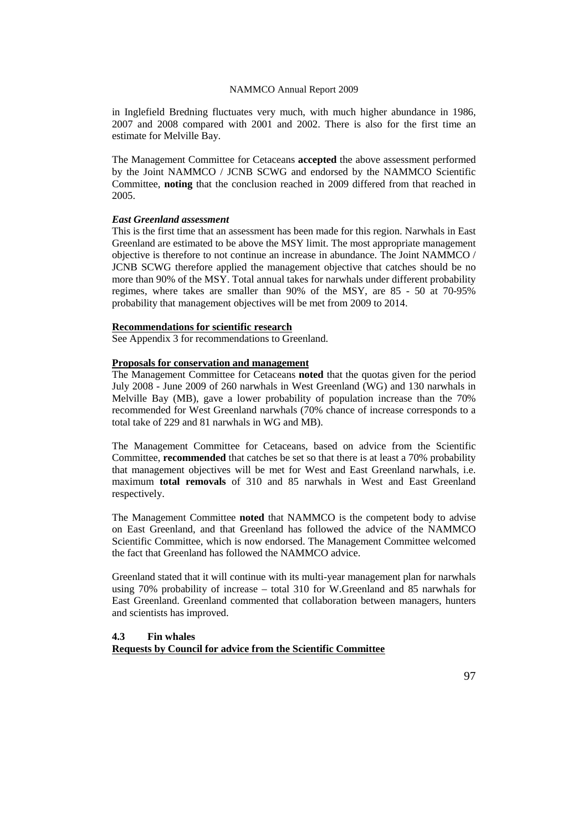in Inglefield Bredning fluctuates very much, with much higher abundance in 1986, 2007 and 2008 compared with 2001 and 2002. There is also for the first time an estimate for Melville Bay.

The Management Committee for Cetaceans **accepted** the above assessment performed by the Joint NAMMCO / JCNB SCWG and endorsed by the NAMMCO Scientific Committee, **noting** that the conclusion reached in 2009 differed from that reached in 2005.

### *East Greenland assessment*

This is the first time that an assessment has been made for this region. Narwhals in East Greenland are estimated to be above the MSY limit. The most appropriate management objective is therefore to not continue an increase in abundance. The Joint NAMMCO / JCNB SCWG therefore applied the management objective that catches should be no more than 90% of the MSY. Total annual takes for narwhals under different probability regimes, where takes are smaller than 90% of the MSY, are 85 - 50 at 70-95% probability that management objectives will be met from 2009 to 2014.

## **Recommendations for scientific research**

See Appendix 3 for recommendations to Greenland.

## **Proposals for conservation and management**

The Management Committee for Cetaceans **noted** that the quotas given for the period July 2008 - June 2009 of 260 narwhals in West Greenland (WG) and 130 narwhals in Melville Bay (MB), gave a lower probability of population increase than the 70% recommended for West Greenland narwhals (70% chance of increase corresponds to a total take of 229 and 81 narwhals in WG and MB).

The Management Committee for Cetaceans, based on advice from the Scientific Committee, **recommended** that catches be set so that there is at least a 70% probability that management objectives will be met for West and East Greenland narwhals, i.e. maximum **total removals** of 310 and 85 narwhals in West and East Greenland respectively.

The Management Committee **noted** that NAMMCO is the competent body to advise on East Greenland, and that Greenland has followed the advice of the NAMMCO Scientific Committee, which is now endorsed. The Management Committee welcomed the fact that Greenland has followed the NAMMCO advice.

Greenland stated that it will continue with its multi-year management plan for narwhals using 70% probability of increase – total 310 for W.Greenland and 85 narwhals for East Greenland. Greenland commented that collaboration between managers, hunters and scientists has improved.

**4.3 Fin whales Requests by Council for advice from the Scientific Committee**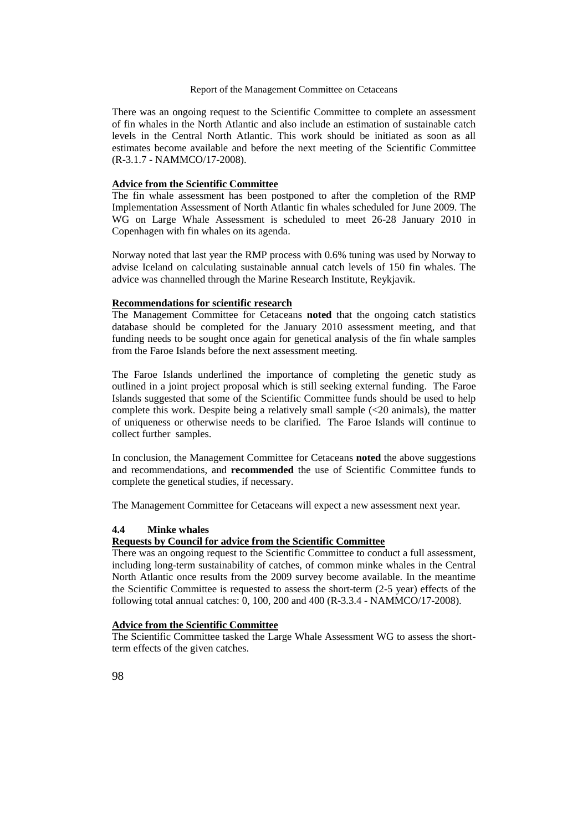There was an ongoing request to the Scientific Committee to complete an assessment of fin whales in the North Atlantic and also include an estimation of sustainable catch levels in the Central North Atlantic. This work should be initiated as soon as all estimates become available and before the next meeting of the Scientific Committee (R-3.1.7 - NAMMCO/17-2008).

## **Advice from the Scientific Committee**

The fin whale assessment has been postponed to after the completion of the RMP Implementation Assessment of North Atlantic fin whales scheduled for June 2009. The WG on Large Whale Assessment is scheduled to meet 26-28 January 2010 in Copenhagen with fin whales on its agenda.

Norway noted that last year the RMP process with 0.6% tuning was used by Norway to advise Iceland on calculating sustainable annual catch levels of 150 fin whales. The advice was channelled through the Marine Research Institute, Reykjavik.

### **Recommendations for scientific research**

The Management Committee for Cetaceans **noted** that the ongoing catch statistics database should be completed for the January 2010 assessment meeting, and that funding needs to be sought once again for genetical analysis of the fin whale samples from the Faroe Islands before the next assessment meeting.

The Faroe Islands underlined the importance of completing the genetic study as outlined in a joint project proposal which is still seeking external funding. The Faroe Islands suggested that some of the Scientific Committee funds should be used to help complete this work. Despite being a relatively small sample  $\ll$  20 animals), the matter of uniqueness or otherwise needs to be clarified. The Faroe Islands will continue to collect further samples.

In conclusion, the Management Committee for Cetaceans **noted** the above suggestions and recommendations, and **recommended** the use of Scientific Committee funds to complete the genetical studies, if necessary.

The Management Committee for Cetaceans will expect a new assessment next year.

## **4.4 Minke whales**

## **Requests by Council for advice from the Scientific Committee**

There was an ongoing request to the Scientific Committee to conduct a full assessment, including long-term sustainability of catches, of common minke whales in the Central North Atlantic once results from the 2009 survey become available. In the meantime the Scientific Committee is requested to assess the short-term (2-5 year) effects of the following total annual catches: 0, 100, 200 and 400 (R-3.3.4 - NAMMCO/17-2008).

## **Advice from the Scientific Committee**

The Scientific Committee tasked the Large Whale Assessment WG to assess the shortterm effects of the given catches.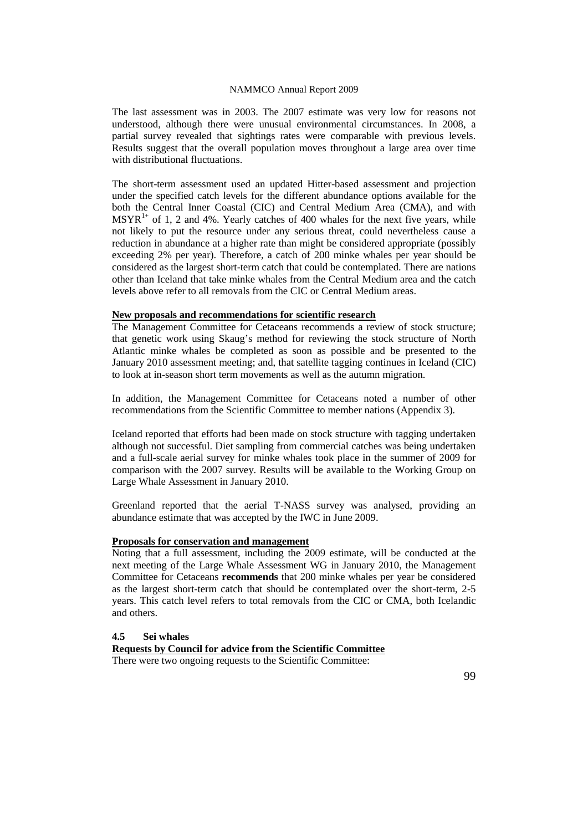The last assessment was in 2003. The 2007 estimate was very low for reasons not understood, although there were unusual environmental circumstances. In 2008, a partial survey revealed that sightings rates were comparable with previous levels. Results suggest that the overall population moves throughout a large area over time with distributional fluctuations.

The short-term assessment used an updated Hitter-based assessment and projection under the specified catch levels for the different abundance options available for the both the Central Inner Coastal (CIC) and Central Medium Area (CMA), and with  $MSYR<sup>1+</sup>$  of 1, 2 and 4%. Yearly catches of 400 whales for the next five years, while not likely to put the resource under any serious threat, could nevertheless cause a reduction in abundance at a higher rate than might be considered appropriate (possibly exceeding 2% per year). Therefore, a catch of 200 minke whales per year should be considered as the largest short-term catch that could be contemplated. There are nations other than Iceland that take minke whales from the Central Medium area and the catch levels above refer to all removals from the CIC or Central Medium areas.

### **New proposals and recommendations for scientific research**

The Management Committee for Cetaceans recommends a review of stock structure; that genetic work using Skaug's method for reviewing the stock structure of North Atlantic minke whales be completed as soon as possible and be presented to the January 2010 assessment meeting; and, that satellite tagging continues in Iceland (CIC) to look at in-season short term movements as well as the autumn migration.

In addition, the Management Committee for Cetaceans noted a number of other recommendations from the Scientific Committee to member nations (Appendix 3).

Iceland reported that efforts had been made on stock structure with tagging undertaken although not successful. Diet sampling from commercial catches was being undertaken and a full-scale aerial survey for minke whales took place in the summer of 2009 for comparison with the 2007 survey. Results will be available to the Working Group on Large Whale Assessment in January 2010.

Greenland reported that the aerial T-NASS survey was analysed, providing an abundance estimate that was accepted by the IWC in June 2009.

### **Proposals for conservation and management**

Noting that a full assessment, including the 2009 estimate, will be conducted at the next meeting of the Large Whale Assessment WG in January 2010, the Management Committee for Cetaceans **recommends** that 200 minke whales per year be considered as the largest short-term catch that should be contemplated over the short-term, 2-5 years. This catch level refers to total removals from the CIC or CMA, both Icelandic and others.

### **4.5 Sei whales**

## **Requests by Council for advice from the Scientific Committee**

There were two ongoing requests to the Scientific Committee: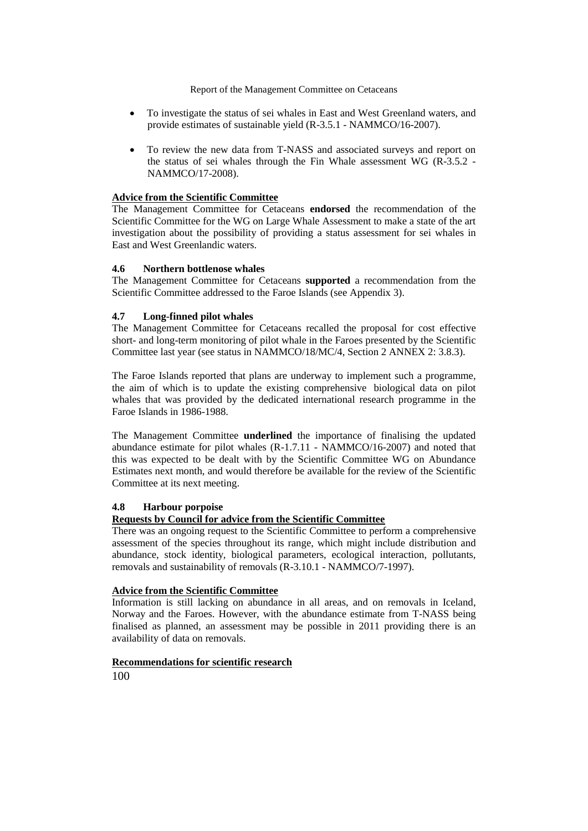- To investigate the status of sei whales in East and West Greenland waters, and provide estimates of sustainable yield (R-3.5.1 - NAMMCO/16-2007).
- To review the new data from T-NASS and associated surveys and report on the status of sei whales through the Fin Whale assessment WG (R-3.5.2 - NAMMCO/17-2008).

## **Advice from the Scientific Committee**

The Management Committee for Cetaceans **endorsed** the recommendation of the Scientific Committee for the WG on Large Whale Assessment to make a state of the art investigation about the possibility of providing a status assessment for sei whales in East and West Greenlandic waters.

## **4.6 Northern bottlenose whales**

The Management Committee for Cetaceans **supported** a recommendation from the Scientific Committee addressed to the Faroe Islands (see Appendix 3).

## **4.7 Long-finned pilot whales**

The Management Committee for Cetaceans recalled the proposal for cost effective short- and long-term monitoring of pilot whale in the Faroes presented by the Scientific Committee last year (see status in NAMMCO/18/MC/4, Section 2 ANNEX 2: 3.8.3).

The Faroe Islands reported that plans are underway to implement such a programme, the aim of which is to update the existing comprehensive biological data on pilot whales that was provided by the dedicated international research programme in the Faroe Islands in 1986-1988.

The Management Committee **underlined** the importance of finalising the updated abundance estimate for pilot whales (R-1.7.11 - NAMMCO/16-2007) and noted that this was expected to be dealt with by the Scientific Committee WG on Abundance Estimates next month, and would therefore be available for the review of the Scientific Committee at its next meeting.

## **4.8 Harbour porpoise**

# **Requests by Council for advice from the Scientific Committee**

There was an ongoing request to the Scientific Committee to perform a comprehensive assessment of the species throughout its range, which might include distribution and abundance, stock identity, biological parameters, ecological interaction, pollutants, removals and sustainability of removals (R-3.10.1 - NAMMCO/7-1997).

## **Advice from the Scientific Committee**

Information is still lacking on abundance in all areas, and on removals in Iceland, Norway and the Faroes. However, with the abundance estimate from T-NASS being finalised as planned, an assessment may be possible in 2011 providing there is an availability of data on removals.

## **Recommendations for scientific research**

100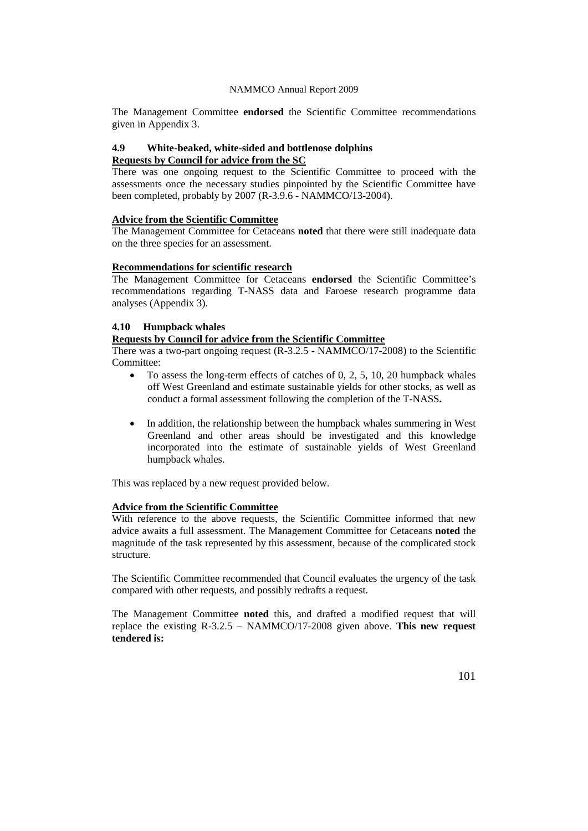The Management Committee **endorsed** the Scientific Committee recommendations given in Appendix 3.

## **4.9 White-beaked, white-sided and bottlenose dolphins Requests by Council for advice from the SC**

There was one ongoing request to the Scientific Committee to proceed with the assessments once the necessary studies pinpointed by the Scientific Committee have been completed, probably by 2007 (R-3.9.6 - NAMMCO/13-2004).

## **Advice from the Scientific Committee**

The Management Committee for Cetaceans **noted** that there were still inadequate data on the three species for an assessment.

## **Recommendations for scientific research**

The Management Committee for Cetaceans **endorsed** the Scientific Committee's recommendations regarding T-NASS data and Faroese research programme data analyses (Appendix 3).

### **4.10 Humpback whales**

### **Requests by Council for advice from the Scientific Committee**

There was a two-part ongoing request (R-3.2.5 - NAMMCO/17-2008) to the Scientific Committee:

- To assess the long-term effects of catches of 0, 2, 5, 10, 20 humpback whales off West Greenland and estimate sustainable yields for other stocks, as well as conduct a formal assessment following the completion of the T-NASS**.**
- In addition, the relationship between the humpback whales summering in West Greenland and other areas should be investigated and this knowledge incorporated into the estimate of sustainable yields of West Greenland humpback whales.

This was replaced by a new request provided below.

## **Advice from the Scientific Committee**

With reference to the above requests, the Scientific Committee informed that new advice awaits a full assessment. The Management Committee for Cetaceans **noted** the magnitude of the task represented by this assessment, because of the complicated stock structure.

The Scientific Committee recommended that Council evaluates the urgency of the task compared with other requests, and possibly redrafts a request.

The Management Committee **noted** this, and drafted a modified request that will replace the existing R-3.2.5 – NAMMCO/17-2008 given above. **This new request tendered is:**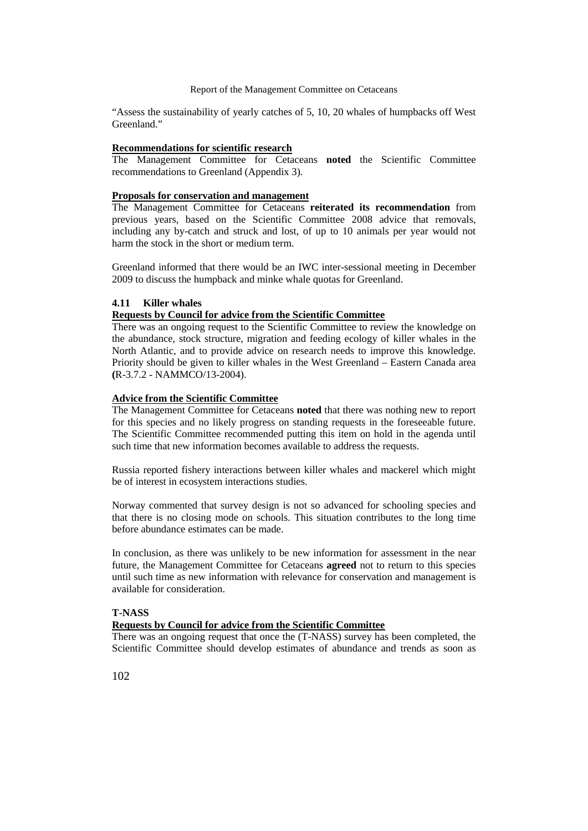"Assess the sustainability of yearly catches of 5, 10, 20 whales of humpbacks off West Greenland."

#### **Recommendations for scientific research**

The Management Committee for Cetaceans **noted** the Scientific Committee recommendations to Greenland (Appendix 3).

### **Proposals for conservation and management**

The Management Committee for Cetaceans **reiterated its recommendation** from previous years, based on the Scientific Committee 2008 advice that removals, including any by-catch and struck and lost, of up to 10 animals per year would not harm the stock in the short or medium term.

Greenland informed that there would be an IWC inter-sessional meeting in December 2009 to discuss the humpback and minke whale quotas for Greenland.

### **4.11 Killer whales**

### **Requests by Council for advice from the Scientific Committee**

There was an ongoing request to the Scientific Committee to review the knowledge on the abundance, stock structure, migration and feeding ecology of killer whales in the North Atlantic, and to provide advice on research needs to improve this knowledge. Priority should be given to killer whales in the West Greenland – Eastern Canada area **(**R-3.7.2 - NAMMCO/13-2004).

### **Advice from the Scientific Committee**

The Management Committee for Cetaceans **noted** that there was nothing new to report for this species and no likely progress on standing requests in the foreseeable future. The Scientific Committee recommended putting this item on hold in the agenda until such time that new information becomes available to address the requests.

Russia reported fishery interactions between killer whales and mackerel which might be of interest in ecosystem interactions studies.

Norway commented that survey design is not so advanced for schooling species and that there is no closing mode on schools. This situation contributes to the long time before abundance estimates can be made.

In conclusion, as there was unlikely to be new information for assessment in the near future, the Management Committee for Cetaceans **agreed** not to return to this species until such time as new information with relevance for conservation and management is available for consideration.

## **T-NASS**

## **Requests by Council for advice from the Scientific Committee**

There was an ongoing request that once the (T-NASS) survey has been completed, the Scientific Committee should develop estimates of abundance and trends as soon as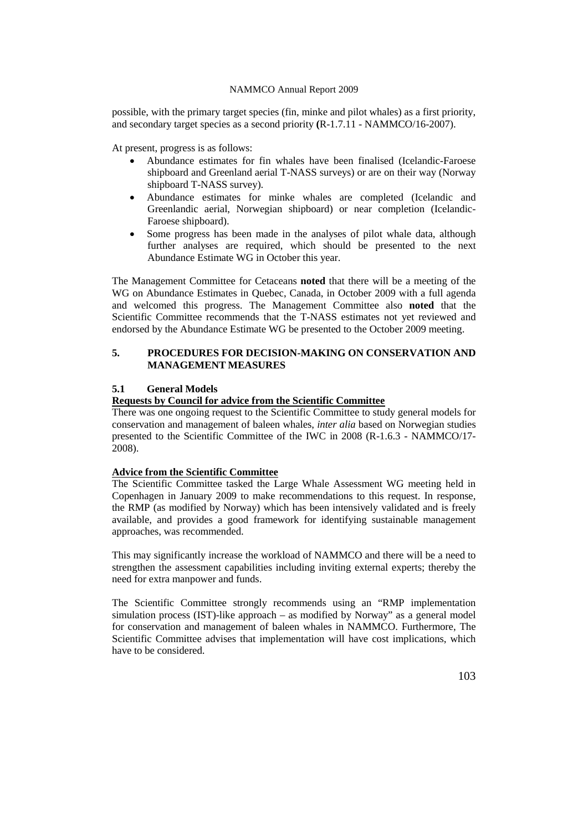possible, with the primary target species (fin, minke and pilot whales) as a first priority, and secondary target species as a second priority **(**R-1.7.11 - NAMMCO/16-2007).

At present, progress is as follows:

- Abundance estimates for fin whales have been finalised (Icelandic-Faroese shipboard and Greenland aerial T-NASS surveys) or are on their way (Norway shipboard T-NASS survey).
- Abundance estimates for minke whales are completed (Icelandic and Greenlandic aerial, Norwegian shipboard) or near completion (Icelandic-Faroese shipboard).
- Some progress has been made in the analyses of pilot whale data, although further analyses are required, which should be presented to the next Abundance Estimate WG in October this year.

The Management Committee for Cetaceans **noted** that there will be a meeting of the WG on Abundance Estimates in Quebec, Canada, in October 2009 with a full agenda and welcomed this progress. The Management Committee also **noted** that the Scientific Committee recommends that the T-NASS estimates not yet reviewed and endorsed by the Abundance Estimate WG be presented to the October 2009 meeting.

## **5. PROCEDURES FOR DECISION-MAKING ON CONSERVATION AND MANAGEMENT MEASURES**

## **5.1 General Models**

### **Requests by Council for advice from the Scientific Committee**

There was one ongoing request to the Scientific Committee to study general models for conservation and management of baleen whales, *inter alia* based on Norwegian studies presented to the Scientific Committee of the IWC in 2008 (R-1.6.3 - NAMMCO/17- 2008).

## **Advice from the Scientific Committee**

The Scientific Committee tasked the Large Whale Assessment WG meeting held in Copenhagen in January 2009 to make recommendations to this request. In response, the RMP (as modified by Norway) which has been intensively validated and is freely available, and provides a good framework for identifying sustainable management approaches, was recommended.

This may significantly increase the workload of NAMMCO and there will be a need to strengthen the assessment capabilities including inviting external experts; thereby the need for extra manpower and funds.

The Scientific Committee strongly recommends using an "RMP implementation simulation process (IST)-like approach – as modified by Norway" as a general model for conservation and management of baleen whales in NAMMCO. Furthermore, The Scientific Committee advises that implementation will have cost implications, which have to be considered.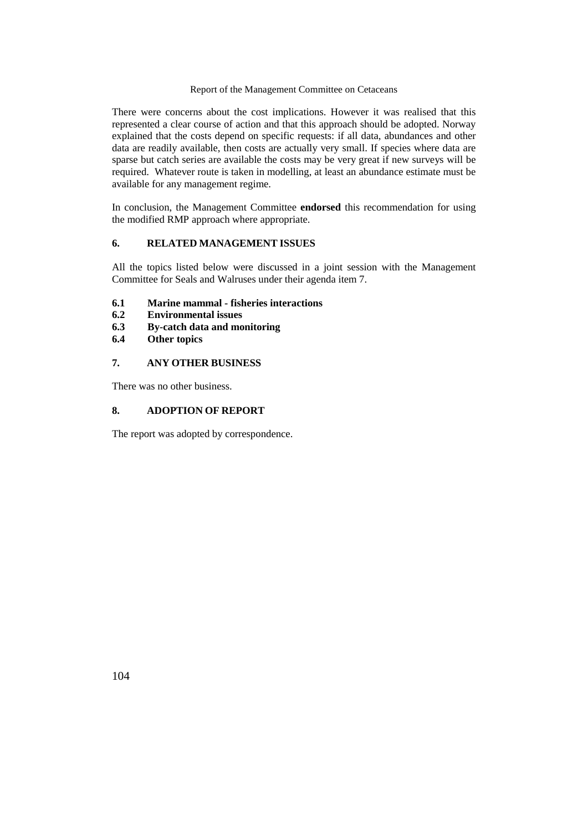There were concerns about the cost implications. However it was realised that this represented a clear course of action and that this approach should be adopted. Norway explained that the costs depend on specific requests: if all data, abundances and other data are readily available, then costs are actually very small. If species where data are sparse but catch series are available the costs may be very great if new surveys will be required. Whatever route is taken in modelling, at least an abundance estimate must be available for any management regime.

In conclusion, the Management Committee **endorsed** this recommendation for using the modified RMP approach where appropriate.

## **6. RELATED MANAGEMENT ISSUES**

All the topics listed below were discussed in a joint session with the Management Committee for Seals and Walruses under their agenda item 7.

- **6.1 Marine mammal - fisheries interactions**
- **6.2 Environmental issues**
- **6.3 By-catch data and monitoring**
- **6.4 Other topics**

## **7. ANY OTHER BUSINESS**

There was no other business.

## **8. ADOPTION OF REPORT**

The report was adopted by correspondence.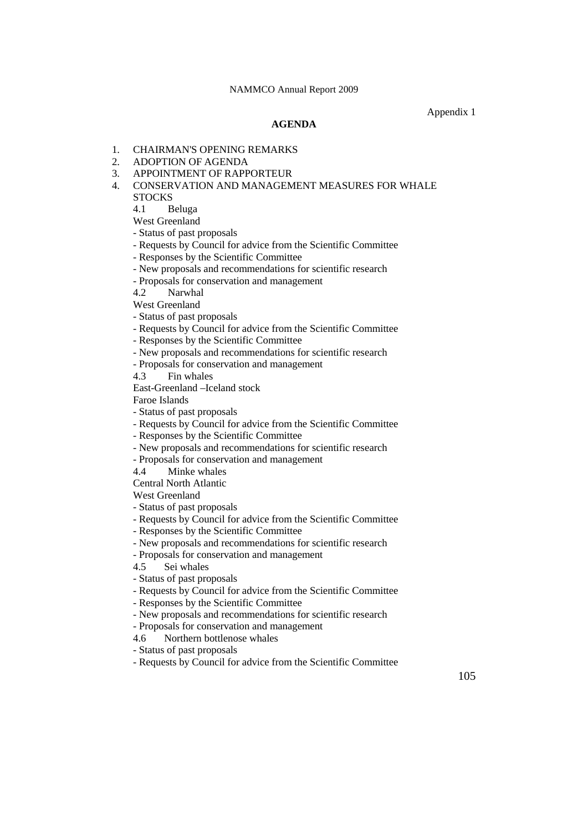Appendix 1

### **AGENDA**

### 1. CHAIRMAN'S OPENING REMARKS

- 2. ADOPTION OF AGENDA
- 3. APPOINTMENT OF RAPPORTEUR
- 4. CONSERVATION AND MANAGEMENT MEASURES FOR WHALE **STOCKS**

4.1 Beluga

West Greenland

- Status of past proposals

- Requests by Council for advice from the Scientific Committee
- Responses by the Scientific Committee
- New proposals and recommendations for scientific research
- Proposals for conservation and management

4.2 Narwhal

West Greenland

- Status of past proposals
- Requests by Council for advice from the Scientific Committee
- Responses by the Scientific Committee
- New proposals and recommendations for scientific research
- Proposals for conservation and management

4.3 Fin whales

East-Greenland –Iceland stock

Faroe Islands

- Status of past proposals

- Requests by Council for advice from the Scientific Committee
- Responses by the Scientific Committee
- New proposals and recommendations for scientific research
- Proposals for conservation and management 4.4 Minke whales

Minke whales

Central North Atlantic

West Greenland

- Status of past proposals

- Requests by Council for advice from the Scientific Committee
- Responses by the Scientific Committee
- New proposals and recommendations for scientific research
- Proposals for conservation and management
- 4.5 Sei whales
- Status of past proposals
- Requests by Council for advice from the Scientific Committee
- Responses by the Scientific Committee
- New proposals and recommendations for scientific research
- Proposals for conservation and management
- 4.6 Northern bottlenose whales
- Status of past proposals
- Requests by Council for advice from the Scientific Committee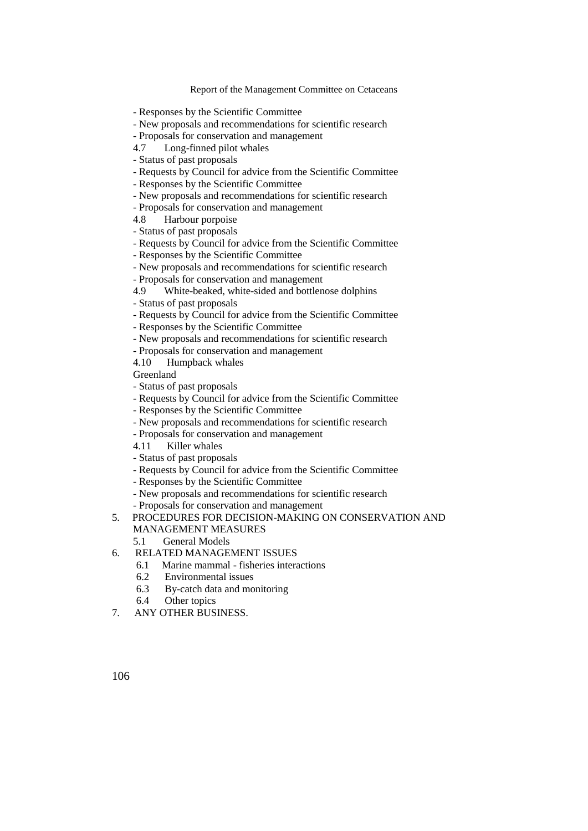- Responses by the Scientific Committee
- New proposals and recommendations for scientific research
- Proposals for conservation and management
- 4.7 Long-finned pilot whales
- Status of past proposals
- Requests by Council for advice from the Scientific Committee
- Responses by the Scientific Committee
- New proposals and recommendations for scientific research
- Proposals for conservation and management
- 4.8 Harbour porpoise
- Status of past proposals
- Requests by Council for advice from the Scientific Committee
- Responses by the Scientific Committee
- New proposals and recommendations for scientific research
- Proposals for conservation and management
- 4.9 White-beaked, white-sided and bottlenose dolphins
- Status of past proposals
- Requests by Council for advice from the Scientific Committee
- Responses by the Scientific Committee
- New proposals and recommendations for scientific research
- Proposals for conservation and management
- 4.10 Humpback whales
- Greenland
- Status of past proposals
- Requests by Council for advice from the Scientific Committee
- Responses by the Scientific Committee
- New proposals and recommendations for scientific research
- Proposals for conservation and management
- 4.11 Killer whales
- Status of past proposals
- Requests by Council for advice from the Scientific Committee
- Responses by the Scientific Committee
- New proposals and recommendations for scientific research
- Proposals for conservation and management
- 5. PROCEDURES FOR DECISION-MAKING ON CONSERVATION AND MANAGEMENT MEASURES
	- 5.1 General Models
- 6. RELATED MANAGEMENT ISSUES
	- 6.1 Marine mammal fisheries interactions
	- 6.2 Environmental issues
	- 6.3 By-catch data and monitoring
	- 6.4 Other topics
- 7. ANY OTHER BUSINESS.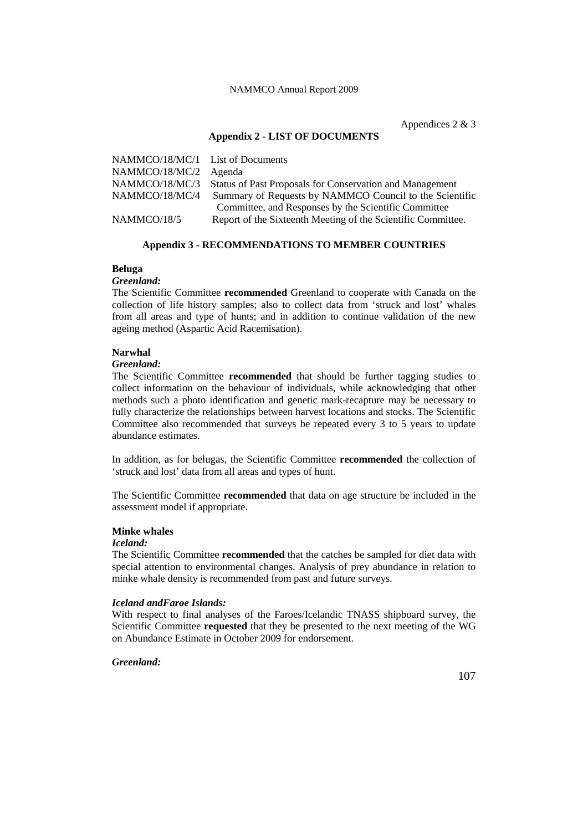Appendices 2 & 3

### **Appendix 2 - LIST OF DOCUMENTS**

| NAMMCO/18/MC/1 List of Documents |                                                                         |
|----------------------------------|-------------------------------------------------------------------------|
| NAMMCO/18/MC/2 Agenda            |                                                                         |
|                                  | NAMMCO/18/MC/3 Status of Past Proposals for Conservation and Management |
| NAMMCO/18/MC/4                   | Summary of Requests by NAMMCO Council to the Scientific                 |
|                                  | Committee, and Responses by the Scientific Committee                    |
| NAMMCO/18/5                      | Report of the Sixteenth Meeting of the Scientific Committee.            |

## **Appendix 3 - RECOMMENDATIONS TO MEMBER COUNTRIES**

## **Beluga**

## *Greenland:*

The Scientific Committee **recommended** Greenland to cooperate with Canada on the collection of life history samples; also to collect data from 'struck and lost' whales from all areas and type of hunts; and in addition to continue validation of the new ageing method (Aspartic Acid Racemisation).

#### **Narwhal**

### *Greenland:*

The Scientific Committee **recommended** that should be further tagging studies to collect information on the behaviour of individuals, while acknowledging that other methods such a photo identification and genetic mark-recapture may be necessary to fully characterize the relationships between harvest locations and stocks. The Scientific Committee also recommended that surveys be repeated every 3 to 5 years to update abundance estimates.

In addition, as for belugas, the Scientific Committee **recommended** the collection of 'struck and lost' data from all areas and types of hunt.

The Scientific Committee **recommended** that data on age structure be included in the assessment model if appropriate.

### **Minke whales**

## *Iceland:*

The Scientific Committee **recommended** that the catches be sampled for diet data with special attention to environmental changes. Analysis of prey abundance in relation to minke whale density is recommended from past and future surveys.

#### *Iceland andFaroe Islands:*

With respect to final analyses of the Faroes/Icelandic TNASS shipboard survey, the Scientific Committee **requested** that they be presented to the next meeting of the WG on Abundance Estimate in October 2009 for endorsement.

### *Greenland:*